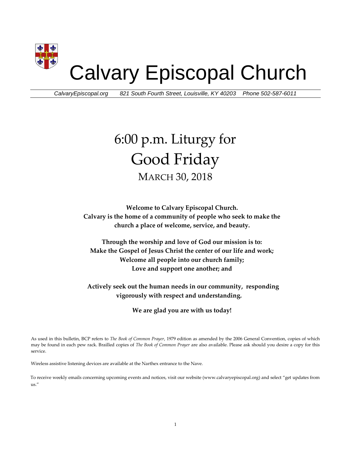

*CalvaryEpiscopal.org 821 South Fourth Street, Louisville, KY 40203 Phone 502-587-6011*

# 6:00 p.m. Liturgy for Good Friday MARCH 30, 2018

**Welcome to Calvary Episcopal Church. Calvary is the home of a community of people who seek to make the church a place of welcome, service, and beauty.**

**Through the worship and love of God our mission is to: Make the Gospel of Jesus Christ the center of our life and work; Welcome all people into our church family; Love and support one another; and**

**Actively seek out the human needs in our community, responding vigorously with respect and understanding.**

**We are glad you are with us today!**

As used in this bulletin, BCP refers to *The Book of Common Prayer*, 1979 edition as amended by the 2006 General Convention, copies of which may be found in each pew rack. Brailled copies of *The Book of Common Prayer* are also available. Please ask should you desire a copy for this service.

Wireless assistive listening devices are available at the Narthex entrance to the Nave.

To receive weekly emails concerning upcoming events and notices, visit our website (www.calvaryepiscopal.org) and select "get updates from us."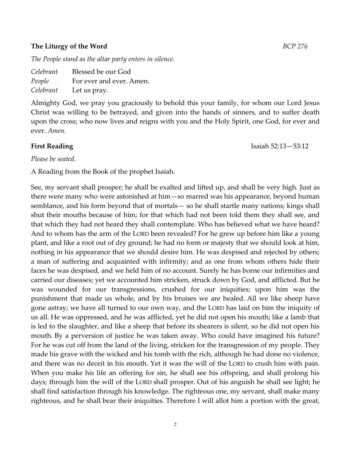# **The Liturgy of the Word** *BCP 276*

*The People stand as the altar party enters in silence.* 

| Celebrant | Blessed be our God       |  |
|-----------|--------------------------|--|
| People    | For ever and ever. Amen. |  |
|           | Celebrant Let us pray.   |  |

Almighty God, we pray you graciously to behold this your family, for whom our Lord Jesus Christ was willing to be betrayed, and given into the hands of sinners, and to suffer death upon the cross; who now lives and reigns with you and the Holy Spirit, one God, for ever and ever. *Amen.*

**First Reading** Isaiah 52:13 - 53:12

*Please be seated.* 

A Reading from the Book of the prophet Isaiah.

See, my servant shall prosper; he shall be exalted and lifted up, and shall be very high. Just as there were many who were astonished at him—so marred was his appearance, beyond human semblance, and his form beyond that of mortals— so he shall startle many nations; kings shall shut their mouths because of him; for that which had not been told them they shall see, and that which they had not heard they shall contemplate. Who has believed what we have heard? And to whom has the arm of the LORD been revealed? For he grew up before him like a young plant, and like a root out of dry ground; he had no form or majesty that we should look at him, nothing in his appearance that we should desire him. He was despised and rejected by others; a man of suffering and acquainted with infirmity; and as one from whom others hide their faces he was despised, and we held him of no account. Surely he has borne our infirmities and carried our diseases; yet we accounted him stricken, struck down by God, and afflicted. But he was wounded for our transgressions, crushed for our iniquities; upon him was the punishment that made us whole, and by his bruises we are healed. All we like sheep have gone astray; we have all turned to our own way, and the LORD has laid on him the iniquity of us all. He was oppressed, and he was afflicted, yet he did not open his mouth; like a lamb that is led to the slaughter, and like a sheep that before its shearers is silent, so he did not open his mouth. By a perversion of justice he was taken away. Who could have imagined his future? For he was cut off from the land of the living, stricken for the transgression of my people. They made his grave with the wicked and his tomb with the rich, although he had done no violence, and there was no deceit in his mouth. Yet it was the will of the LORD to crush him with pain. When you make his life an offering for sin, he shall see his offspring, and shall prolong his days; through him the will of the LORD shall prosper. Out of his anguish he shall see light; he shall find satisfaction through his knowledge. The righteous one, my servant, shall make many righteous, and he shall bear their iniquities. Therefore I will allot him a portion with the great,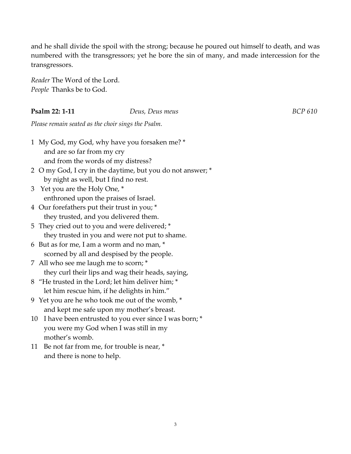and he shall divide the spoil with the strong; because he poured out himself to death, and was numbered with the transgressors; yet he bore the sin of many, and made intercession for the transgressors.

*Reader* The Word of the Lord. *People* Thanks be to God.

### **Psalm 22: 1-11** *Deus, Deus meus BCP 610*

*Please remain seated as the choir sings the Psalm.* 

| 1 My God, my God, why have you forsaken me? * |
|-----------------------------------------------|
| and are so far from my cry                    |
| and from the words of my distress?            |
|                                               |

- 2 O my God, I cry in the daytime, but you do not answer; \* by night as well, but I find no rest.
- 3 Yet you are the Holy One, \* enthroned upon the praises of Israel.
- 4 Our forefathers put their trust in you; \* they trusted, and you delivered them.
- 5 They cried out to you and were delivered; \* they trusted in you and were not put to shame.
- 6 But as for me, I am a worm and no man, \* scorned by all and despised by the people.
- 7 All who see me laugh me to scorn; \* they curl their lips and wag their heads, saying,
- 8 "He trusted in the Lord; let him deliver him; \* let him rescue him, if he delights in him."
- 9 Yet you are he who took me out of the womb, \* and kept me safe upon my mother's breast.
- 10 I have been entrusted to you ever since I was born; \* you were my God when I was still in my mother's womb.
- 11 Be not far from me, for trouble is near, \* and there is none to help.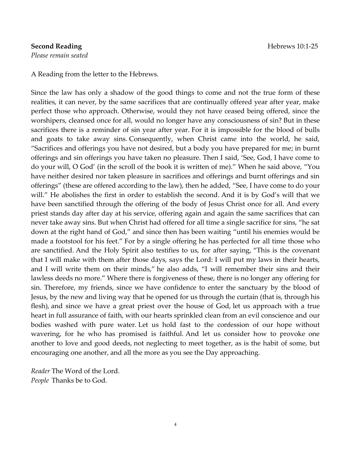# **Second Reading**   $\blacksquare$  **Hebrews 10:1-25**

*Please remain seated*

A Reading from the letter to the Hebrews.

Since the law has only a shadow of the good things to come and not the true form of these realities, it can never, by the same sacrifices that are continually offered year after year, make perfect those who approach. Otherwise, would they not have ceased being offered, since the worshipers, cleansed once for all, would no longer have any consciousness of sin? But in these sacrifices there is a reminder of sin year after year. For it is impossible for the blood of bulls and goats to take away sins. Consequently, when Christ came into the world, he said, "Sacrifices and offerings you have not desired, but a body you have prepared for me; in burnt offerings and sin offerings you have taken no pleasure. Then I said, 'See, God, I have come to do your will, O God' (in the scroll of the book it is written of me)." When he said above, "You have neither desired nor taken pleasure in sacrifices and offerings and burnt offerings and sin offerings" (these are offered according to the law), then he added, "See, I have come to do your will." He abolishes the first in order to establish the second. And it is by God's will that we have been sanctified through the offering of the body of Jesus Christ once for all. And every priest stands day after day at his service, offering again and again the same sacrifices that can never take away sins. But when Christ had offered for all time a single sacrifice for sins, "he sat down at the right hand of God," and since then has been waiting "until his enemies would be made a footstool for his feet." For by a single offering he has perfected for all time those who are sanctified. And the Holy Spirit also testifies to us, for after saying, "This is the covenant that I will make with them after those days, says the Lord: I will put my laws in their hearts, and I will write them on their minds," he also adds, "I will remember their sins and their lawless deeds no more." Where there is forgiveness of these, there is no longer any offering for sin. Therefore, my friends, since we have confidence to enter the sanctuary by the blood of Jesus, by the new and living way that he opened for us through the curtain (that is, through his flesh), and since we have a great priest over the house of God, let us approach with a true heart in full assurance of faith, with our hearts sprinkled clean from an evil conscience and our bodies washed with pure water. Let us hold fast to the confession of our hope without wavering, for he who has promised is faithful. And let us consider how to provoke one another to love and good deeds, not neglecting to meet together, as is the habit of some, but encouraging one another, and all the more as you see the Day approaching.

*Reader* The Word of the Lord. *People* Thanks be to God.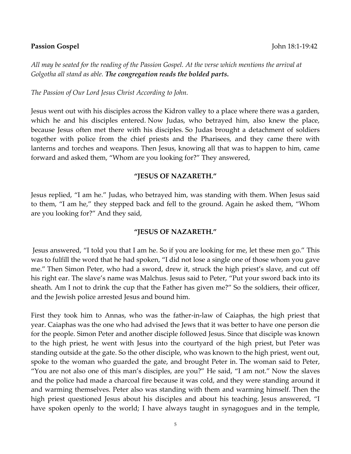# **Passion Gospel** John 18:1-19:42

*All may be seated for the reading of the Passion Gospel. At the verse which mentions the arrival at Golgotha all stand as able. The congregation reads the bolded parts.*

*The Passion of Our Lord Jesus Christ According to John.*

Jesus went out with his disciples across the Kidron valley to a place where there was a garden, which he and his disciples entered. Now Judas, who betrayed him, also knew the place, because Jesus often met there with his disciples. So Judas brought a detachment of soldiers together with police from the chief priests and the Pharisees, and they came there with lanterns and torches and weapons. Then Jesus, knowing all that was to happen to him, came forward and asked them, "Whom are you looking for?" They answered,

### **"JESUS OF NAZARETH."**

Jesus replied, "I am he." Judas, who betrayed him, was standing with them. When Jesus said to them, "I am he," they stepped back and fell to the ground. Again he asked them, "Whom are you looking for?" And they said,

# **"JESUS OF NAZARETH."**

Jesus answered, "I told you that I am he. So if you are looking for me, let these men go." This was to fulfill the word that he had spoken, "I did not lose a single one of those whom you gave me." Then Simon Peter, who had a sword, drew it, struck the high priest's slave, and cut off his right ear. The slave's name was Malchus. Jesus said to Peter, "Put your sword back into its sheath. Am I not to drink the cup that the Father has given me?" So the soldiers, their officer, and the Jewish police arrested Jesus and bound him.

First they took him to Annas, who was the father-in-law of Caiaphas, the high priest that year. Caiaphas was the one who had advised the Jews that it was better to have one person die for the people. Simon Peter and another disciple followed Jesus. Since that disciple was known to the high priest, he went with Jesus into the courtyard of the high priest, but Peter was standing outside at the gate. So the other disciple, who was known to the high priest, went out, spoke to the woman who guarded the gate, and brought Peter in. The woman said to Peter, "You are not also one of this man's disciples, are you?" He said, "I am not." Now the slaves and the police had made a charcoal fire because it was cold, and they were standing around it and warming themselves. Peter also was standing with them and warming himself. Then the high priest questioned Jesus about his disciples and about his teaching. Jesus answered, "I have spoken openly to the world; I have always taught in synagogues and in the temple,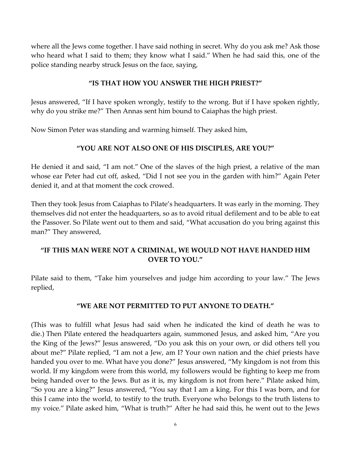where all the Jews come together. I have said nothing in secret. Why do you ask me? Ask those who heard what I said to them; they know what I said." When he had said this, one of the police standing nearby struck Jesus on the face, saying,

# **"IS THAT HOW YOU ANSWER THE HIGH PRIEST?"**

Jesus answered, "If I have spoken wrongly, testify to the wrong. But if I have spoken rightly, why do you strike me?" Then Annas sent him bound to Caiaphas the high priest.

Now Simon Peter was standing and warming himself. They asked him,

# **"YOU ARE NOT ALSO ONE OF HIS DISCIPLES, ARE YOU?"**

He denied it and said, "I am not." One of the slaves of the high priest, a relative of the man whose ear Peter had cut off, asked, "Did I not see you in the garden with him?" Again Peter denied it, and at that moment the cock crowed.

Then they took Jesus from Caiaphas to Pilate's headquarters. It was early in the morning. They themselves did not enter the headquarters, so as to avoid ritual defilement and to be able to eat the Passover. So Pilate went out to them and said, "What accusation do you bring against this man?" They answered,

# **"IF THIS MAN WERE NOT A CRIMINAL, WE WOULD NOT HAVE HANDED HIM OVER TO YOU."**

Pilate said to them, "Take him yourselves and judge him according to your law." The Jews replied,

# **"WE ARE NOT PERMITTED TO PUT ANYONE TO DEATH."**

(This was to fulfill what Jesus had said when he indicated the kind of death he was to die.) Then Pilate entered the headquarters again, summoned Jesus, and asked him, "Are you the King of the Jews?" Jesus answered, "Do you ask this on your own, or did others tell you about me?" Pilate replied, "I am not a Jew, am I? Your own nation and the chief priests have handed you over to me. What have you done?" Jesus answered, "My kingdom is not from this world. If my kingdom were from this world, my followers would be fighting to keep me from being handed over to the Jews. But as it is, my kingdom is not from here." Pilate asked him, "So you are a king?" Jesus answered, "You say that I am a king. For this I was born, and for this I came into the world, to testify to the truth. Everyone who belongs to the truth listens to my voice." Pilate asked him, "What is truth?" After he had said this, he went out to the Jews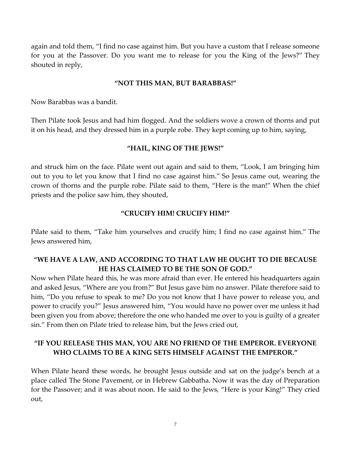again and told them, "I find no case against him. But you have a custom that I release someone for you at the Passover. Do you want me to release for you the King of the Jews?" They shouted in reply,

# **"NOT THIS MAN, BUT BARABBAS!"**

Now Barabbas was a bandit.

Then Pilate took Jesus and had him flogged. And the soldiers wove a crown of thorns and put it on his head, and they dressed him in a purple robe. They kept coming up to him, saying,

# **"HAIL, KING OF THE JEWS!"**

and struck him on the face. Pilate went out again and said to them, "Look, I am bringing him out to you to let you know that I find no case against him." So Jesus came out, wearing the crown of thorns and the purple robe. Pilate said to them, "Here is the man!" When the chief priests and the police saw him, they shouted,

# **"CRUCIFY HIM! CRUCIFY HIM!"**

Pilate said to them, "Take him yourselves and crucify him; I find no case against him." The Jews answered him,

# **"WE HAVE A LAW, AND ACCORDING TO THAT LAW HE OUGHT TO DIE BECAUSE HE HAS CLAIMED TO BE THE SON OF GOD."**

Now when Pilate heard this, he was more afraid than ever. He entered his headquarters again and asked Jesus, "Where are you from?" But Jesus gave him no answer. Pilate therefore said to him, "Do you refuse to speak to me? Do you not know that I have power to release you, and power to crucify you?" Jesus answered him, "You would have no power over me unless it had been given you from above; therefore the one who handed me over to you is guilty of a greater sin." From then on Pilate tried to release him, but the Jews cried out,

# **"IF YOU RELEASE THIS MAN, YOU ARE NO FRIEND OF THE EMPEROR. EVERYONE WHO CLAIMS TO BE A KING SETS HIMSELF AGAINST THE EMPEROR."**

When Pilate heard these words, he brought Jesus outside and sat on the judge's bench at a place called The Stone Pavement, or in Hebrew Gabbatha. Now it was the day of Preparation for the Passover; and it was about noon. He said to the Jews, "Here is your King!" They cried out,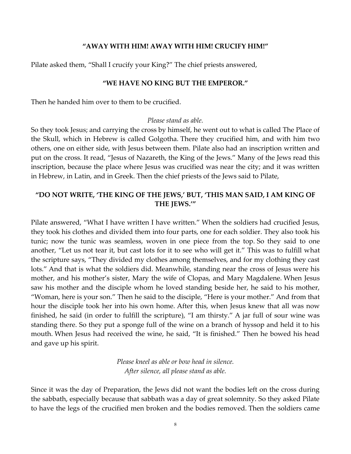# **"AWAY WITH HIM! AWAY WITH HIM! CRUCIFY HIM!"**

Pilate asked them, "Shall I crucify your King?" The chief priests answered,

# **"WE HAVE NO KING BUT THE EMPEROR."**

Then he handed him over to them to be crucified.

# *Please stand as able.*

So they took Jesus; and carrying the cross by himself, he went out to what is called The Place of the Skull, which in Hebrew is called Golgotha. There they crucified him, and with him two others, one on either side, with Jesus between them. Pilate also had an inscription written and put on the cross. It read, "Jesus of Nazareth, the King of the Jews." Many of the Jews read this inscription, because the place where Jesus was crucified was near the city; and it was written in Hebrew, in Latin, and in Greek. Then the chief priests of the Jews said to Pilate,

# **"DO NOT WRITE, 'THE KING OF THE JEWS,' BUT, 'THIS MAN SAID, I AM KING OF THE JEWS.'"**

Pilate answered, "What I have written I have written." When the soldiers had crucified Jesus, they took his clothes and divided them into four parts, one for each soldier. They also took his tunic; now the tunic was seamless, woven in one piece from the top. So they said to one another, "Let us not tear it, but cast lots for it to see who will get it." This was to fulfill what the scripture says, "They divided my clothes among themselves, and for my clothing they cast lots." And that is what the soldiers did. Meanwhile, standing near the cross of Jesus were his mother, and his mother's sister, Mary the wife of Clopas, and Mary Magdalene. When Jesus saw his mother and the disciple whom he loved standing beside her, he said to his mother, "Woman, here is your son." Then he said to the disciple, "Here is your mother." And from that hour the disciple took her into his own home. After this, when Jesus knew that all was now finished, he said (in order to fulfill the scripture), "I am thirsty." A jar full of sour wine was standing there. So they put a sponge full of the wine on a branch of hyssop and held it to his mouth. When Jesus had received the wine, he said, "It is finished." Then he bowed his head and gave up his spirit.

> *Please kneel as able or bow head in silence. After silence, all please stand as able.*

Since it was the day of Preparation, the Jews did not want the bodies left on the cross during the sabbath, especially because that sabbath was a day of great solemnity. So they asked Pilate to have the legs of the crucified men broken and the bodies removed. Then the soldiers came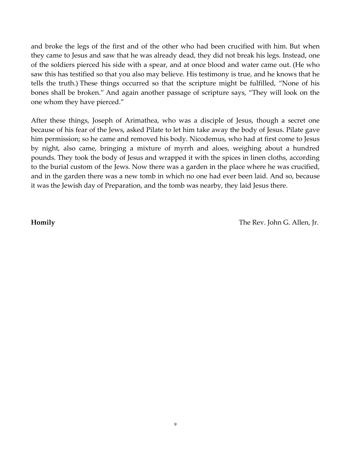and broke the legs of the first and of the other who had been crucified with him. But when they came to Jesus and saw that he was already dead, they did not break his legs. Instead, one of the soldiers pierced his side with a spear, and at once blood and water came out. (He who saw this has testified so that you also may believe. His testimony is true, and he knows that he tells the truth.) These things occurred so that the scripture might be fulfilled, "None of his bones shall be broken." And again another passage of scripture says, "They will look on the one whom they have pierced."

After these things, Joseph of Arimathea, who was a disciple of Jesus, though a secret one because of his fear of the Jews, asked Pilate to let him take away the body of Jesus. Pilate gave him permission; so he came and removed his body. Nicodemus, who had at first come to Jesus by night, also came, bringing a mixture of myrrh and aloes, weighing about a hundred pounds. They took the body of Jesus and wrapped it with the spices in linen cloths, according to the burial custom of the Jews. Now there was a garden in the place where he was crucified, and in the garden there was a new tomb in which no one had ever been laid. And so, because it was the Jewish day of Preparation, and the tomb was nearby, they laid Jesus there.

**Homily** The Rev. John G. Allen, Jr.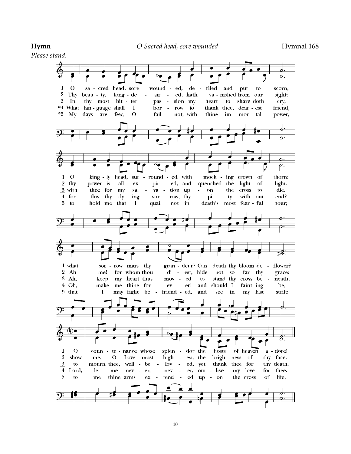*Please stand.*

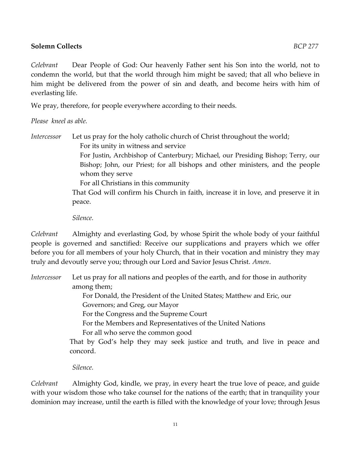# **Solemn Collects** *BCP 277*

*Celebrant* Dear People of God: Our heavenly Father sent his Son into the world, not to condemn the world, but that the world through him might be saved; that all who believe in him might be delivered from the power of sin and death, and become heirs with him of everlasting life.

We pray, therefore, for people everywhere according to their needs.

*Please kneel as able.*

*Intercessor* Let us pray for the holy catholic church of Christ throughout the world; For its unity in witness and service For Justin, Archbishop of Canterbury; Michael, our Presiding Bishop; Terry, our Bishop; John, our Priest; for all bishops and other ministers, and the people whom they serve For all Christians in this community That God will confirm his Church in faith, increase it in love, and preserve it in peace.

*Silence.*

*Celebrant* Almighty and everlasting God, by whose Spirit the whole body of your faithful people is governed and sanctified: Receive our supplications and prayers which we offer before you for all members of your holy Church, that in their vocation and ministry they may truly and devoutly serve you; through our Lord and Savior Jesus Christ. *Amen*.

*Intercessor* Let us pray for all nations and peoples of the earth, and for those in authority among them; For Donald, the President of the United States; Matthew and Eric, our Governors; and Greg, our Mayor For the Congress and the Supreme Court For the Members and Representatives of the United Nations For all who serve the common good That by God's help they may seek justice and truth, and live in peace and concord.

*Silence.*

*Celebrant* Almighty God, kindle, we pray, in every heart the true love of peace, and guide with your wisdom those who take counsel for the nations of the earth; that in tranquility your dominion may increase, until the earth is filled with the knowledge of your love; through Jesus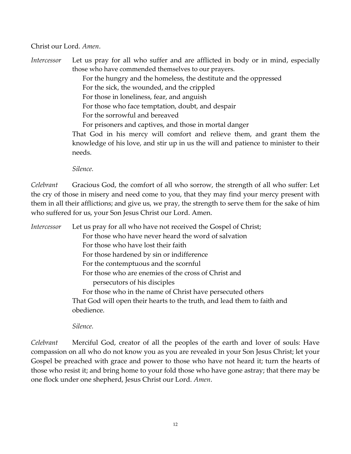# Christ our Lord. *Amen*.

*Intercessor* Let us pray for all who suffer and are afflicted in body or in mind, especially those who have commended themselves to our prayers.

> For the hungry and the homeless, the destitute and the oppressed For the sick, the wounded, and the crippled For those in loneliness, fear, and anguish For those who face temptation, doubt, and despair For the sorrowful and bereaved For prisoners and captives, and those in mortal danger

That God in his mercy will comfort and relieve them, and grant them the knowledge of his love, and stir up in us the will and patience to minister to their needs.

*Silence.*

*Celebrant* Gracious God, the comfort of all who sorrow, the strength of all who suffer: Let the cry of those in misery and need come to you, that they may find your mercy present with them in all their afflictions; and give us, we pray, the strength to serve them for the sake of him who suffered for us, your Son Jesus Christ our Lord. Amen.

*Intercessor* Let us pray for all who have not received the Gospel of Christ; For those who have never heard the word of salvation For those who have lost their faith For those hardened by sin or indifference For the contemptuous and the scornful For those who are enemies of the cross of Christ and persecutors of his disciples For those who in the name of Christ have persecuted others That God will open their hearts to the truth, and lead them to faith and obedience.

# *Silence.*

*Celebrant* Merciful God, creator of all the peoples of the earth and lover of souls: Have compassion on all who do not know you as you are revealed in your Son Jesus Christ; let your Gospel be preached with grace and power to those who have not heard it; turn the hearts of those who resist it; and bring home to your fold those who have gone astray; that there may be one flock under one shepherd, Jesus Christ our Lord. *Amen*.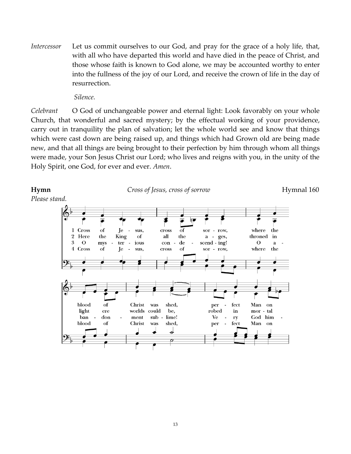*Intercessor* Let us commit ourselves to our God, and pray for the grace of a holy life, that, with all who have departed this world and have died in the peace of Christ, and those whose faith is known to God alone, we may be accounted worthy to enter into the fullness of the joy of our Lord, and receive the crown of life in the day of resurrection.

# *Silence.*

*Celebrant* O God of unchangeable power and eternal light: Look favorably on your whole Church, that wonderful and sacred mystery; by the effectual working of your providence, carry out in tranquility the plan of salvation; let the whole world see and know that things which were cast down are being raised up, and things which had Grown old are being made new, and that all things are being brought to their perfection by him through whom all things were made, your Son Jesus Christ our Lord; who lives and reigns with you, in the unity of the Holy Spirit, one God, for ever and ever. *Amen*.

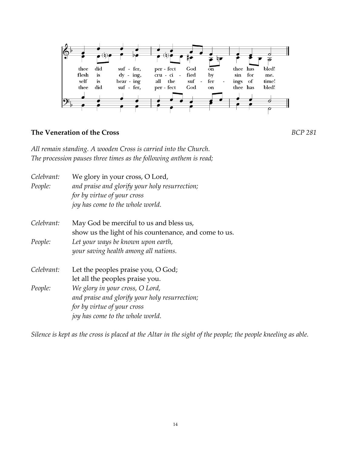

# **The Veneration of the Cross** *BCP 281*

*All remain standing. A wooden Cross is carried into the Church. The procession pauses three times as the following anthem is read;* 

| Celebrant: | We glory in your cross, O Lord,                       |  |
|------------|-------------------------------------------------------|--|
| People:    | and praise and glorify your holy resurrection;        |  |
|            | for by virtue of your cross                           |  |
|            | joy has come to the whole world.                      |  |
| Celebrant: | May God be merciful to us and bless us,               |  |
|            | show us the light of his countenance, and come to us. |  |
| People:    | Let your ways be known upon earth,                    |  |
|            | your saving health among all nations.                 |  |
| Celebrant: | Let the peoples praise you, O God;                    |  |
|            | let all the peoples praise you.                       |  |
| People:    | We glory in your cross, O Lord,                       |  |
|            | and praise and glorify your holy resurrection;        |  |
|            | for by virtue of your cross                           |  |
|            | joy has come to the whole world.                      |  |

*Silence is kept as the cross is placed at the Altar in the sight of the people; the people kneeling as able.*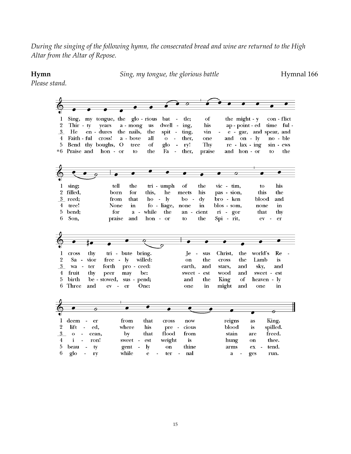*During the singing of the following hymn, the consecrated bread and wine are returned to the High Altar from the Altar of Repose.*

**Hymn** *Sing, my tongue, the glorious battle* **Hymnal 166** 

*Please stand.*

 $\sigma$ é  $\mathbf{1}$ Sing, my tongue, the glo-rious bat tle; of the  $might - y$ con - flict  $\overline{a}$  $\overline{2}$ Thir - ty dwell his years a - mong  $\overline{\mathbf{u}}$ s ing, ap - point - ed time - ful - $\overline{3}$ He  $en$ dures the nails, the spit ting,  $\sin$ e - gar, and spear, and  $\overline{4}$ Faith - ful cross! a - bove  $a$ ll  $\mathbf{o}$  $\mathbb{Z}$ ther, one and on -  $\ln$ no - ble Bend thy boughs, O  $5\phantom{.}$  $\mathrm{of}$ ry! Thy re - lax - ing tree glo  $\overline{\phantom{a}}$ sin - ews hon - or Fa l, ther, and hon - or \*6 Praise and  $\mathbf{t}$ the praise to the  $\bullet$ ō  $\overline{\sigma}$ o  $\bullet$  $\bullet$  $\bullet$  $\bullet$  $tell$ sing; the tri - umph vic - tim, his  $\mathbf{1}$ of the to 2 filled, born for he his this the this, meets pas - sion,  $3$  reed; bro - ken from that  $ho - ly$ bo dy blood and  $\overline{a}$  $\overline{\mathbf{4}}$ fo - liage, tree! None in  $\bf none$ in blos - som, none  $\mathbf{in}$  $\overline{5}$ bend; for  $a$ while the an cient ri - gor that thy Spi - rit, 6 Son, praise and hon - or to the  ${\rm ev}$ er  $\overline{\phantom{a}}$  $\bullet$  $\overline{\bullet}$ ä  $\overline{c}$  $\mathbf{1}$ cross thy tri - bute bring. Je  $\sim$ sus Christ, the world's  $Re$  $\overline{2}$  $-1y$  $Sa$ vior free willed: on the **cross** the Lamb is. 3 wa ter forth pro - ceed: earth, and stars, and sky, and  $\overline{\mathbf{4}}$ fruit thy peer be: sweet est wood and sweet est may 5 birth the King heaven - ly be - stowed, sus pend; and of 6 Three might and  $ev$  $\ddot{\phantom{1}}$ er One: one in and one in  $\bullet$  $\bullet$  $\bullet$  $\overline{c}$  $\overline{\sigma}$  $\mathbf{I}$ deem  $\sim$ er from that cross now reigns as King.  $\overline{2}$ pre lift  $\ddot{\phantom{a}}$ ed. where his cious blood  $is$ spilled.  $\frac{3}{2}$  $\sigma$ cean, by that flood from  $\operatorname{stain}$ are freed.  $\mathcal{L}^{\mathcal{L}}$  $\overline{\mathbf{4}}$  $\mathbf{i}$ ron! sweet est weight hung thee. is on  $\overline{5}$ beau  $1<sub>y</sub>$ thine tend.  $\overline{\phantom{a}}$ ty gent on arms  $ex$  $\,6\,$ glo while

ter

 $\sim$ 

 $\mathbf{e}% _{t}\left| \mathbf{v}_{t}\right|$ 

nal

a

run.

ges

ry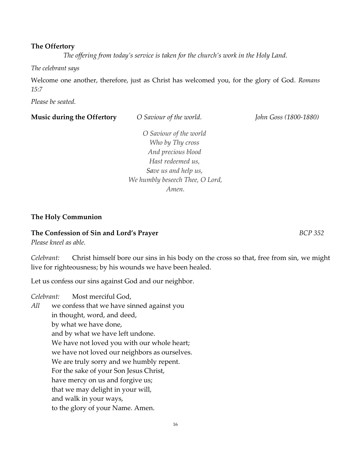# **The Offertory**

*The offering from today's service is taken for the church's work in the Holy Land.*

# *The celebrant says*

Welcome one another, therefore, just as Christ has welcomed you, for the glory of God. *Romans 15:7*

*Please be seated.*

| Music during the Offertory | O Saviour of the world. | John Goss (1800-1880) |
|----------------------------|-------------------------|-----------------------|
|                            | O Saviour of the world  |                       |
|                            | Who by Thy cross        |                       |
|                            | And precious blood      |                       |
|                            | Hast redeemed us,       |                       |

*Save us and help us, We humbly beseech Thee, O Lord, Amen.*

# **The Holy Communion**

# **The Confession of Sin and Lord's Prayer** *BCP 352*

*Please kneel as able.*

*Celebrant:* Christ himself bore our sins in his body on the cross so that, free from sin, we might live for righteousness; by his wounds we have been healed.

Let us confess our sins against God and our neighbor.

*Celebrant:* Most merciful God, *All* we confess that we have sinned against you in thought, word, and deed, by what we have done, and by what we have left undone. We have not loved you with our whole heart; we have not loved our neighbors as ourselves. We are truly sorry and we humbly repent. For the sake of your Son Jesus Christ, have mercy on us and forgive us; that we may delight in your will, and walk in your ways, to the glory of your Name. Amen.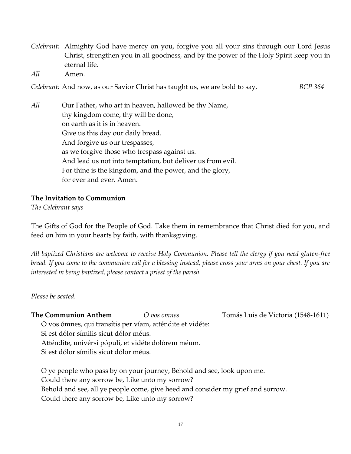- *Celebrant:* Almighty God have mercy on you, forgive you all your sins through our Lord Jesus Christ, strengthen you in all goodness, and by the power of the Holy Spirit keep you in eternal life.
- *All* Amen.

*Celebrant:* And now, as our Savior Christ has taught us, we are bold to say, *BCP 364*

*All* Our Father, who art in heaven, hallowed be thy Name, thy kingdom come, thy will be done, on earth as it is in heaven. Give us this day our daily bread. And forgive us our trespasses, as we forgive those who trespass against us. And lead us not into temptation, but deliver us from evil. For thine is the kingdom, and the power, and the glory, for ever and ever. Amen.

# **The Invitation to Communion**

*The Celebrant says*

The Gifts of God for the People of God. Take them in remembrance that Christ died for you, and feed on him in your hearts by faith, with thanksgiving.

*All baptized Christians are welcome to receive Holy Communion. Please tell the clergy if you need gluten-free bread. If you come to the communion rail for a blessing instead, please cross your arms on your chest. If you are interested in being baptized, please contact a priest of the parish.* 

*Please be seated.*

**The Communion Anthem** *O vos omnes* Tomás Luis de Victoria (1548-1611) O vos ómnes, qui transítis per víam, atténdite et vidéte: Si est dólor símilis sícut dólor méus. Atténdite, univérsi pópuli, et vidéte dolórem méum. Si est dólor símilis sícut dólor méus. O ye people who pass by on your journey, Behold and see, look upon me. Could there any sorrow be, Like unto my sorrow?

Behold and see, all ye people come, give heed and consider my grief and sorrow.

Could there any sorrow be, Like unto my sorrow?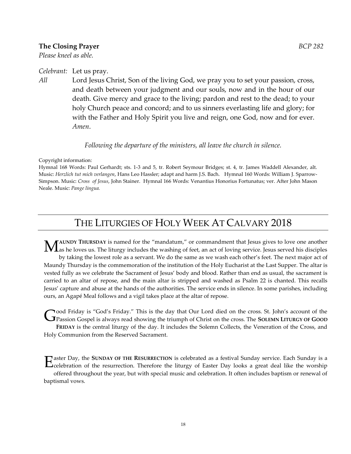# **The Closing Prayer** *BCP 282*

*Please kneel as able.*

### *Celebrant:* Let us pray.

*All* Lord Jesus Christ, Son of the living God, we pray you to set your passion, cross, and death between your judgment and our souls, now and in the hour of our death. Give mercy and grace to the living; pardon and rest to the dead; to your holy Church peace and concord; and to us sinners everlasting life and glory; for with the Father and Holy Spirit you live and reign, one God, now and for ever. *Amen*.

*Following the departure of the ministers, all leave the church in silence.*

### Copyright information:

Hymnal 168 Words: Paul Gerhardt; sts. 1-3 and 5, tr. Robert Seymour Bridges; st. 4, tr. James Waddell Alexander, alt. Music: *Herzlich tut mich verlangen*, Hans Leo Hassler; adapt and harm J.S. Bach. Hymnal 160 Words: William J. Sparrow-Simpson. Music: *Cross of Jesus*, John Stainer. Hymnal 166 Words: Venantius Honorius Fortunatus; ver. After John Mason Neale. Music: *Pange lingua.*

# THE LITURGIES OF HOLY WEEK AT CALVARY 2018

**AUNDY THURSDAY** is named for the "mandatum," or commandment that Jesus gives to love one another MAUNDY THURSDAY is named for the "mandatum," or commandment that Jesus gives to love one another as he loves us. The liturgy includes the washing of feet, an act of loving service. Jesus served his disciples by taking the lowest role as a servant. We do the same as we wash each other's feet. The next major act of Maundy Thursday is the commemoration of the institution of the Holy Eucharist at the Last Supper. The altar is vested fully as we celebrate the Sacrament of Jesus' body and blood. Rather than end as usual, the sacrament is carried to an altar of repose, and the main altar is stripped and washed as Psalm 22 is chanted. This recalls Jesus' capture and abuse at the hands of the authorities. The service ends in silence. In some parishes, including ours, an Agapé Meal follows and a vigil takes place at the altar of repose.

ood Friday is "God's Friday." This is the day that Our Lord died on the cross. St. John's account of the Good Friday is "God's Friday." This is the day that Our Lord died on the cross. St. John's account of the Passion Gospel is always read showing the triumph of Christ on the cross. The **SOLEMN LITURGY OF GOOD FRIDAY** is the central liturgy of the day. It includes the Solemn Collects, the Veneration of the Cross, and Holy Communion from the Reserved Sacrament.

aster Day, the **SUNDAY OF THE RESURRECTION** is celebrated as a festival Sunday service. Each Sunday is a Exercise Case of the SUNDAY OF THE RESURRECTION is celebrated as a festival Sunday service. Each Sunday is a celebration of the resurrection. Therefore the liturgy of Easter Day looks a great deal like the worship offered throughout the year, but with special music and celebration. It often includes baptism or renewal of baptismal vows.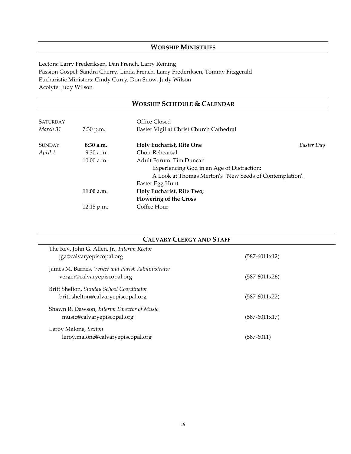# **WORSHIP MINISTRIES**

Lectors: Larry Frederiksen, Dan French, Larry Reining Passion Gospel: Sandra Cherry, Linda French, Larry Frederiksen, Tommy Fitzgerald Eucharistic Ministers: Cindy Curry, Don Snow, Judy Wilson Acolyte: Judy Wilson

# **WORSHIP SCHEDULE & CALENDAR**

| <b>SATURDAY</b> |              | Office Closed                                           |            |  |
|-----------------|--------------|---------------------------------------------------------|------------|--|
| March 31        | $7:30$ p.m.  | Easter Vigil at Christ Church Cathedral                 |            |  |
| <b>SUNDAY</b>   | $8:30$ a.m.  | Holy Eucharist, Rite One                                | Easter Day |  |
| April 1         | $9:30$ a.m.  | Choir Rehearsal                                         |            |  |
|                 | $10:00$ a.m. | Adult Forum: Tim Duncan                                 |            |  |
|                 |              | Experiencing God in an Age of Distraction:              |            |  |
|                 |              | A Look at Thomas Merton's 'New Seeds of Contemplation'. |            |  |
|                 |              | Easter Egg Hunt                                         |            |  |
|                 | $11:00$ a.m. | Holy Eucharist, Rite Two;                               |            |  |
|                 |              | <b>Flowering of the Cross</b>                           |            |  |
|                 | $12:15$ p.m. | Coffee Hour                                             |            |  |

| <b>CALVARY CLERGY AND STAFF</b>                  |                 |  |
|--------------------------------------------------|-----------------|--|
| The Rev. John G. Allen, Jr., Interim Rector      |                 |  |
| jga@calvaryepiscopal.org                         | $(587-6011x12)$ |  |
| James M. Barnes, Verger and Parish Administrator |                 |  |
| verger@calvaryepiscopal.org                      | $(587-6011x26)$ |  |
| Britt Shelton, Sunday School Coordinator         |                 |  |
| britt.shelton@calvaryepiscopal.org               | $(587-6011x22)$ |  |
| Shawn R. Dawson, Interim Director of Music       |                 |  |
| music@calvaryepiscopal.org                       | $(587-6011x17)$ |  |
| Leroy Malone, Sexton                             |                 |  |
| leroy.malone@calvaryepiscopal.org                | $(587 - 6011)$  |  |